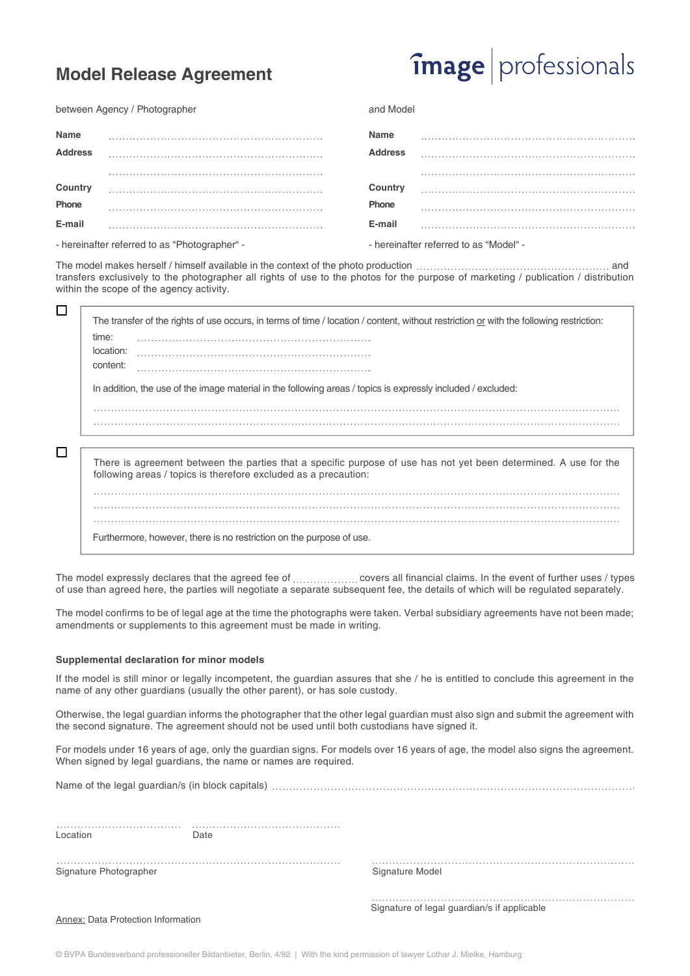### **Model Release Agreement**

## **image** professionals

between Agency / Photographer

| Name                                          |  | Name                                   |  |
|-----------------------------------------------|--|----------------------------------------|--|
| <b>Address</b>                                |  | <b>Address</b>                         |  |
|                                               |  |                                        |  |
| <b>Country</b>                                |  | Country                                |  |
| Phone                                         |  | Phone                                  |  |
| E-mail                                        |  | E-mail                                 |  |
| - hereinafter referred to as "Photographer" - |  | - hereinafter referred to as "Model" - |  |

and Model

The model makes herself / himself available in the context of the photo production and Das Modell stellt sich im Zusammenhang mit der Fotoproduktion als Modell zur transfers exclusively to the photographer all rights of use to the photos for the purpose of marketing / publication / distribution within the scope of the agency activity.

|   | The transfer of the rights of use occurs, in terms of time / location / content, without restriction or with the following restriction:                                             |
|---|-------------------------------------------------------------------------------------------------------------------------------------------------------------------------------------|
|   | time:                                                                                                                                                                               |
|   | location:                                                                                                                                                                           |
|   | content:                                                                                                                                                                            |
|   | In addition, the use of the image material in the following areas / topics is expressly included / excluded:                                                                        |
|   |                                                                                                                                                                                     |
|   |                                                                                                                                                                                     |
| ⊏ |                                                                                                                                                                                     |
|   | There is agreement between the parties that a specific purpose of use has not yet been determined. A use for the<br>following areas / topics is therefore excluded as a precaution: |
|   |                                                                                                                                                                                     |
|   |                                                                                                                                                                                     |
|   |                                                                                                                                                                                     |
|   | Furthermore, however, there is no restriction on the purpose of use.                                                                                                                |

The model expressly declares that the agreed fee of ..................... covers all financial claims. In the event of further uses / types of use than agreed here, the parties will negotiate a separate subsequent fee, the details of which will be regulated separately.

The model confirms to be of legal age at the time the photographs were taken. Verbal subsidiary agreements have not been made; amendments or supplements to this agreement must be made in writing.

#### **Supplemental declaration for minor models**

If the model is still minor or legally incompetent, the guardian assures that she / he is entitled to conclude this agreement in the name of any other guardians (usually the other parent), or has sole custody.

Otherwise, the legal guardian informs the photographer that the other legal guardian must also sign and submit the agreement with the second signature. The agreement should not be used until both custodians have signed it.

For models under 16 years of age, only the guardian signs. For models over 16 years of age, the model also signs the agreement. When signed by legal guardians, the name or names are required.

Name of the legal guardian/s (in block capitals)

Location Date

Signature Photographer Signature Model

Signature of legal guardian/s if applicable

**Annex: Data Protection Information** 

© BVPA Bundesverband professioneller Bildanbieter, Berlin, 4/92 | With the kind permission of lawyer Lothar J. Mielke, Hamburg